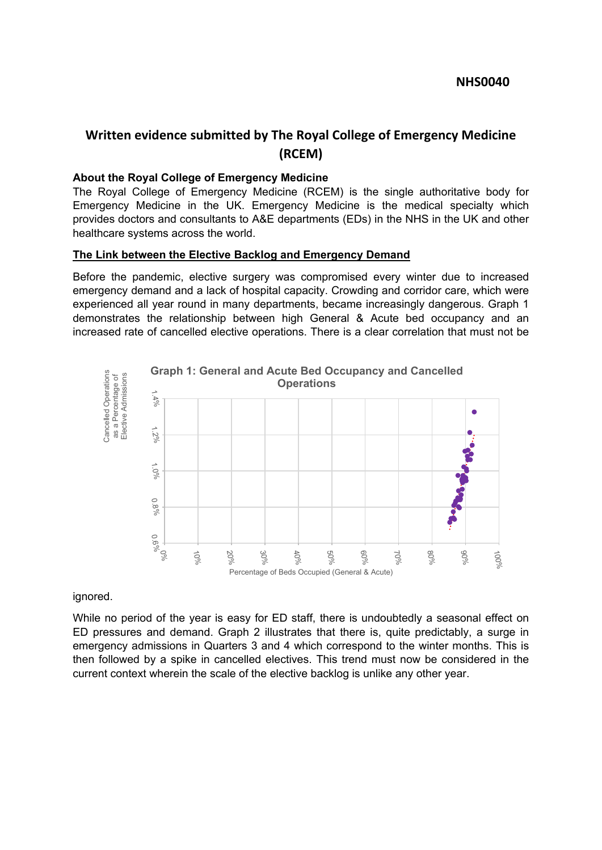# **Written evidence submitted by The Royal College of Emergency Medicine (RCEM)**

#### **About the Royal College of Emergency Medicine**

The Royal College of Emergency Medicine (RCEM) is the single authoritative body for Emergency Medicine in the UK. Emergency Medicine is the medical specialty which provides doctors and consultants to A&E departments (EDs) in the NHS in the UK and other healthcare systems across the world.

#### **The Link between the Elective Backlog and Emergency Demand**

Before the pandemic, elective surgery was compromised every winter due to increased emergency demand and a lack of hospital capacity. Crowding and corridor care, which were experienced all year round in many departments, became increasingly dangerous. Graph 1 demonstrates the relationship between high General & Acute bed occupancy and an increased rate of cancelled elective operations. There is a clear correlation that must not be



ignored.

While no period of the year is easy for ED staff, there is undoubtedly a seasonal effect on ED pressures and demand. Graph 2 illustrates that there is, quite predictably, a surge in emergency admissions in Quarters 3 and 4 which correspond to the winter months. This is then followed by a spike in cancelled electives. This trend must now be considered in the current context wherein the scale of the elective backlog is unlike any other year.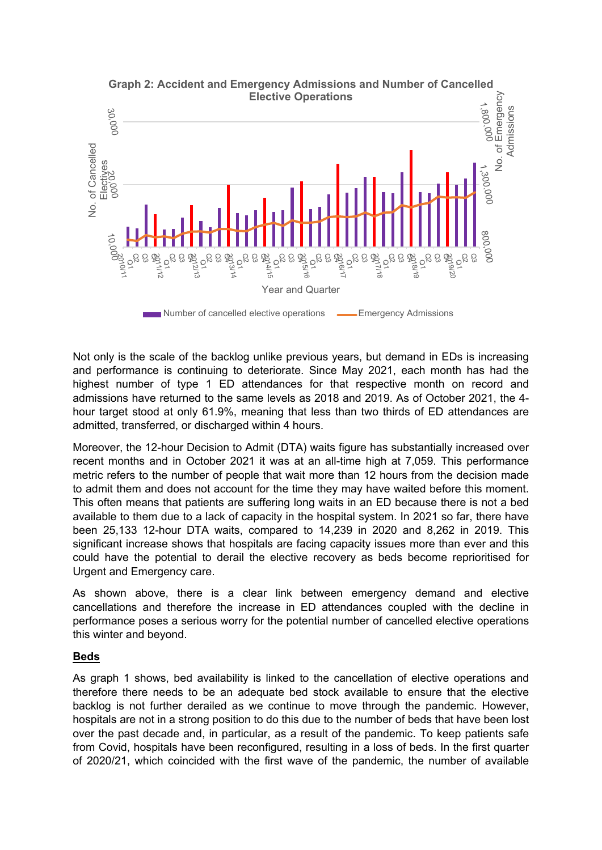

Not only is the scale of the backlog unlike previous years, but demand in EDs is increasing and performance is continuing to deteriorate. Since May 2021, each month has had the highest number of type 1 ED attendances for that respective month on record and admissions have returned to the same levels as 2018 and 2019. As of October 2021, the 4 hour target stood at only 61.9%, meaning that less than two thirds of ED attendances are admitted, transferred, or discharged within 4 hours.

Moreover, the 12-hour Decision to Admit (DTA) waits figure has substantially increased over recent months and in October 2021 it was at an all-time high at 7,059. This performance metric refers to the number of people that wait more than 12 hours from the decision made to admit them and does not account for the time they may have waited before this moment. This often means that patients are suffering long waits in an ED because there is not a bed available to them due to a lack of capacity in the hospital system. In 2021 so far, there have been 25,133 12-hour DTA waits, compared to 14,239 in 2020 and 8,262 in 2019. This significant increase shows that hospitals are facing capacity issues more than ever and this could have the potential to derail the elective recovery as beds become reprioritised for Urgent and Emergency care.

As shown above, there is a clear link between emergency demand and elective cancellations and therefore the increase in ED attendances coupled with the decline in performance poses a serious worry for the potential number of cancelled elective operations this winter and beyond.

#### **Beds**

As graph 1 shows, bed availability is linked to the cancellation of elective operations and therefore there needs to be an adequate bed stock available to ensure that the elective backlog is not further derailed as we continue to move through the pandemic. However, hospitals are not in a strong position to do this due to the number of beds that have been lost over the past decade and, in particular, as a result of the pandemic. To keep patients safe from Covid, hospitals have been reconfigured, resulting in a loss of beds. In the first quarter of 2020/21, which coincided with the first wave of the pandemic, the number of available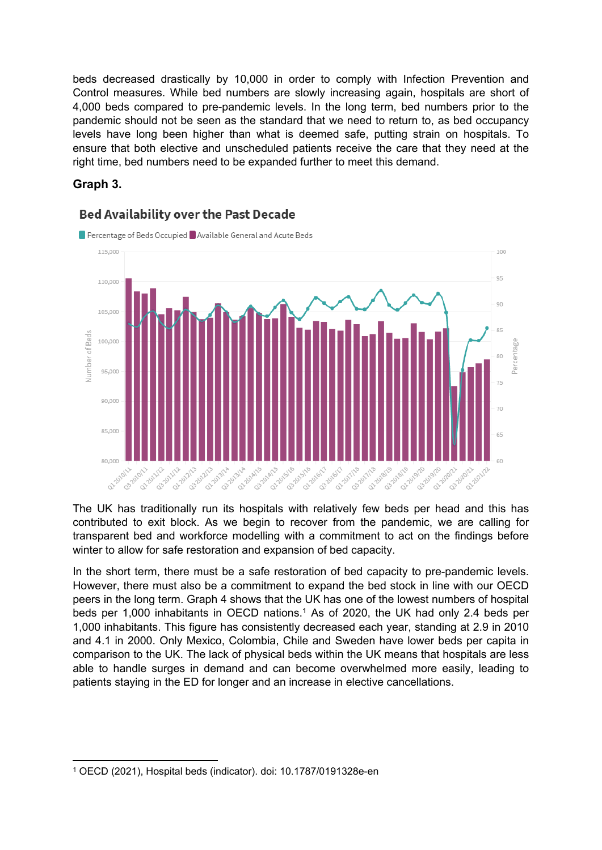beds decreased drastically by 10,000 in order to comply with Infection Prevention and Control measures. While bed numbers are slowly increasing again, hospitals are short of 4,000 beds compared to pre-pandemic levels. In the long term, bed numbers prior to the pandemic should not be seen as the standard that we need to return to, as bed occupancy levels have long been higher than what is deemed safe, putting strain on hospitals. To ensure that both elective and unscheduled patients receive the care that they need at the right time, bed numbers need to be expanded further to meet this demand.

## **Graph 3.**



## **Bed Availability over the Past Decade**

The UK has traditionally run its hospitals with relatively few beds per head and this has contributed to exit block. As we begin to recover from the pandemic, we are calling for transparent bed and workforce modelling with a commitment to act on the findings before winter to allow for safe restoration and expansion of bed capacity.

In the short term, there must be a safe restoration of bed capacity to pre-pandemic levels. However, there must also be a commitment to expand the bed stock in line with our OECD peers in the long term. Graph 4 shows that the UK has one of the lowest numbers of hospital beds per 1,000 inhabitants in OECD nations.<sup>1</sup> As of 2020, the UK had only 2.4 beds per 1,000 inhabitants. This figure has consistently decreased each year, standing at 2.9 in 2010 and 4.1 in 2000. Only Mexico, Colombia, Chile and Sweden have lower beds per capita in comparison to the UK. The lack of physical beds within the UK means that hospitals are less able to handle surges in demand and can become overwhelmed more easily, leading to patients staying in the ED for longer and an increase in elective cancellations.

<sup>1</sup> OECD (2021), Hospital beds (indicator). doi: 10.1787/0191328e-en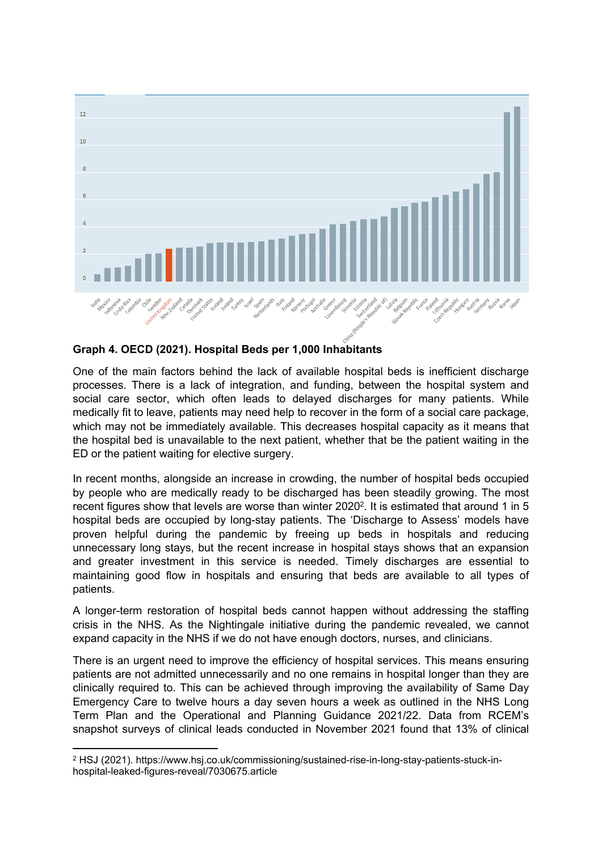

#### **Graph 4. OECD (2021). Hospital Beds per 1,000 Inhabitants**

One of the main factors behind the lack of available hospital beds is inefficient discharge processes. There is a lack of integration, and funding, between the hospital system and social care sector, which often leads to delayed discharges for many patients. While medically fit to leave, patients may need help to recover in the form of a social care package, which may not be immediately available. This decreases hospital capacity as it means that the hospital bed is unavailable to the next patient, whether that be the patient waiting in the ED or the patient waiting for elective surgery.

In recent months, alongside an increase in crowding, the number of hospital beds occupied by people who are medically ready to be discharged has been steadily growing. The most recent figures show that levels are worse than winter 2020<sup>2</sup>. It is estimated that around 1 in 5 hospital beds are occupied by long-stay patients. The 'Discharge to Assess' models have proven helpful during the pandemic by freeing up beds in hospitals and reducing unnecessary long stays, but the recent increase in hospital stays shows that an expansion and greater investment in this service is needed. Timely discharges are essential to maintaining good flow in hospitals and ensuring that beds are available to all types of patients.

A longer-term restoration of hospital beds cannot happen without addressing the staffing crisis in the NHS. As the Nightingale initiative during the pandemic revealed, we cannot expand capacity in the NHS if we do not have enough doctors, nurses, and clinicians.

There is an urgent need to improve the efficiency of hospital services. This means ensuring patients are not admitted unnecessarily and no one remains in hospital longer than they are clinically required to. This can be achieved through improving the availability of Same Day Emergency Care to twelve hours a day seven hours a week as outlined in the NHS Long Term Plan and the Operational and Planning Guidance 2021/22. Data from RCEM's snapshot surveys of clinical leads conducted in November 2021 found that 13% of clinical

<sup>2</sup> HSJ (2021). https://www.hsj.co.uk/commissioning/sustained-rise-in-long-stay-patients-stuck-inhospital-leaked-figures-reveal/7030675.article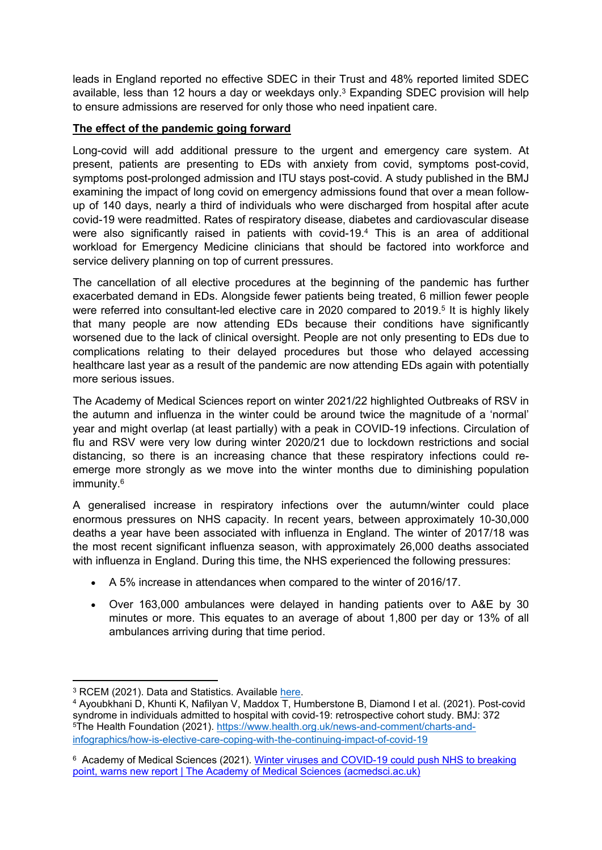leads in England reported no effective SDEC in their Trust and 48% reported limited SDEC available, less than 12 hours a day or weekdays only. $3$  Expanding SDEC provision will help to ensure admissions are reserved for only those who need inpatient care.

## **The effect of the pandemic going forward**

Long-covid will add additional pressure to the urgent and emergency care system. At present, patients are presenting to EDs with anxiety from covid, symptoms post-covid, symptoms post-prolonged admission and ITU stays post-covid. A study published in the BMJ examining the impact of long covid on emergency admissions found that over a mean followup of 140 days, nearly a third of individuals who were discharged from hospital after acute covid-19 were readmitted. Rates of respiratory disease, diabetes and cardiovascular disease were also significantly raised in patients with covid-19.<sup>4</sup> This is an area of additional workload for Emergency Medicine clinicians that should be factored into workforce and service delivery planning on top of current pressures.

The cancellation of all elective procedures at the beginning of the pandemic has further exacerbated demand in EDs. Alongside fewer patients being treated, 6 million fewer people were referred into consultant-led elective care in 2020 compared to 2019.<sup>5</sup> It is highly likely that many people are now attending EDs because their conditions have significantly worsened due to the lack of clinical oversight. People are not only presenting to EDs due to complications relating to their delayed procedures but those who delayed accessing healthcare last year as a result of the pandemic are now attending EDs again with potentially more serious issues.

The Academy of Medical Sciences report on winter 2021/22 highlighted Outbreaks of RSV in the autumn and influenza in the winter could be around twice the magnitude of a 'normal' year and might overlap (at least partially) with a peak in COVID-19 infections. Circulation of flu and RSV were very low during winter 2020/21 due to lockdown restrictions and social distancing, so there is an increasing chance that these respiratory infections could reemerge more strongly as we move into the winter months due to diminishing population immunity.<sup>6</sup>

A generalised increase in respiratory infections over the autumn/winter could place enormous pressures on NHS capacity. In recent years, between approximately 10-30,000 deaths a year have been associated with influenza in England. The winter of 2017/18 was the most recent significant influenza season, with approximately 26,000 deaths associated with influenza in England. During this time, the NHS experienced the following pressures:

- A 5% increase in attendances when compared to the winter of 2016/17.
- Over 163,000 ambulances were delayed in handing patients over to A&E by 30 minutes or more. This equates to an average of about 1,800 per day or 13% of all ambulances arriving during that time period.

<sup>3</sup> RCEM (2021). Data and Statistics. Available [here](https://rcem.ac.uk/wp-content/uploads/2021/11/Snapshot_survey_5.pdf).

<sup>4</sup> Ayoubkhani D, Khunti K, Nafilyan V, Maddox T, Humberstone B, Diamond I et al. (2021). Post-covid syndrome in individuals admitted to hospital with covid-19: retrospective cohort study. BMJ: 372 <sup>5</sup>The Health Foundation (2021). [https://www.health.org.uk/news-and-comment/charts-and](about:blank)[infographics/how-is-elective-care-coping-with-the-continuing-impact-of-covid-19](about:blank)

<sup>&</sup>lt;sup>6</sup> Academy of Medical Sciences (2021). [Winter](about:blank) [viruses](about:blank) [and](about:blank) [COVID-19](about:blank) [could](about:blank) [push](about:blank) [NHS](about:blank) [to](about:blank) [breaking](about:blank) [point,](about:blank) [warns](about:blank) [new](about:blank) [report](about:blank) [|](about:blank) [The](about:blank) [Academy](about:blank) [of](about:blank) [Medical](about:blank) [Sciences](about:blank) [\(acmedsci.ac.uk\)](about:blank)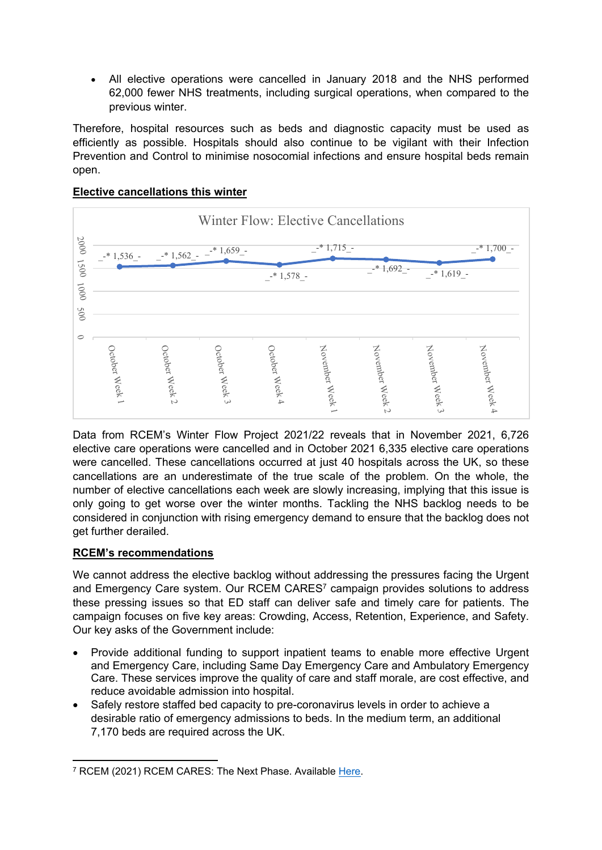All elective operations were cancelled in January 2018 and the NHS performed 62,000 fewer NHS treatments, including surgical operations, when compared to the previous winter.

Therefore, hospital resources such as beds and diagnostic capacity must be used as efficiently as possible. Hospitals should also continue to be vigilant with their Infection Prevention and Control to minimise nosocomial infections and ensure hospital beds remain open.

### **Elective cancellations this winter**



Data from RCEM's Winter Flow Project 2021/22 reveals that in November 2021, 6,726 elective care operations were cancelled and in October 2021 6,335 elective care operations were cancelled. These cancellations occurred at just 40 hospitals across the UK, so these cancellations are an underestimate of the true scale of the problem. On the whole, the number of elective cancellations each week are slowly increasing, implying that this issue is only going to get worse over the winter months. Tackling the NHS backlog needs to be considered in conjunction with rising emergency demand to ensure that the backlog does not get further derailed.

## **RCEM's recommendations**

We cannot address the elective backlog without addressing the pressures facing the Urgent and Emergency Care system. Our RCEM CARES<sup>7</sup> campaign provides solutions to address these pressing issues so that ED staff can deliver safe and timely care for patients. The campaign focuses on five key areas: Crowding, Access, Retention, Experience, and Safety. Our key asks of the Government include:

- Provide additional funding to support inpatient teams to enable more effective Urgent and Emergency Care, including Same Day Emergency Care and Ambulatory Emergency Care. These services improve the quality of care and staff morale, are cost effective, and reduce avoidable admission into hospital.
- Safely restore staffed bed capacity to pre-coronavirus levels in order to achieve a desirable ratio of emergency admissions to beds. In the medium term, an additional 7,170 beds are required across the UK.

<sup>7</sup> RCEM (2021) RCEM CARES: The Next Phase. Available [Here.](https://rcem.ac.uk/rcem-cares/)